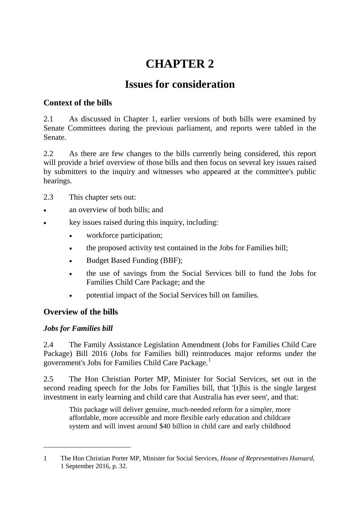# **CHAPTER 2**

## **Issues for consideration**

## **Context of the bills**

2.1 As discussed in Chapter 1, earlier versions of both bills were examined by Senate Committees during the previous parliament, and reports were tabled in the Senate.

2.2 As there are few changes to the bills currently being considered, this report will provide a brief overview of those bills and then focus on several key issues raised by submitters to the inquiry and witnesses who appeared at the committee's public hearings.

- 2.3 This chapter sets out:
- an overview of both bills; and
- key issues raised during this inquiry, including:
	- workforce participation;
	- the proposed activity test contained in the Jobs for Families bill;
	- Budget Based Funding (BBF);
	- the use of savings from the Social Services bill to fund the Jobs for Families Child Care Package; and the
	- potential impact of the Social Services bill on families.

## **Overview of the bills**

## *Jobs for Families bill*

-

2.4 The Family Assistance Legislation Amendment (Jobs for Families Child Care Package) Bill 2016 (Jobs for Families bill) reintroduces major reforms under the government's Jobs for Families Child Care Package.<sup>[1](#page-0-0)</sup>

2.5 The Hon Christian Porter MP, Minister for Social Services, set out in the second reading speech for the Jobs for Families bill, that '[t]his is the single largest investment in early learning and child care that Australia has ever seen', and that:

This package will deliver genuine, much-needed reform for a simpler, more affordable, more accessible and more flexible early education and childcare system and will invest around \$40 billion in child care and early childhood

<span id="page-0-0"></span><sup>1</sup> The Hon Christian Porter MP, Minister for Social Services, *House of Representatives Hansard*, 1 September 2016, p. 32.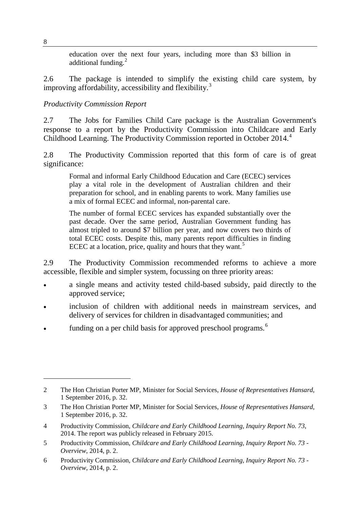education over the next four years, including more than \$3 billion in additional funding.<sup>[2](#page-1-0)</sup>

2.6 The package is intended to simplify the existing child care system, by improving affordability, accessibility and flexibility.<sup>[3](#page-1-1)</sup>

## *Productivity Commission Report*

2.7 The Jobs for Families Child Care package is the Australian Government's response to a report by the Productivity Commission into Childcare and Early Childhood Learning. The Productivity Commission reported in October 201[4](#page-1-2).<sup>4</sup>

2.8 The Productivity Commission reported that this form of care is of great significance:

Formal and informal Early Childhood Education and Care (ECEC) services play a vital role in the development of Australian children and their preparation for school, and in enabling parents to work. Many families use a mix of formal ECEC and informal, non-parental care.

The number of formal ECEC services has expanded substantially over the past decade. Over the same period, Australian Government funding has almost tripled to around \$7 billion per year, and now covers two thirds of total ECEC costs. Despite this, many parents report difficulties in finding ECEC at a location, price, quality and hours that they want.<sup>[5](#page-1-3)</sup>

2.9 The Productivity Commission recommended reforms to achieve a more accessible, flexible and simpler system, focussing on three priority areas:

- a single means and activity tested child-based subsidy, paid directly to the approved service;
- inclusion of children with additional needs in mainstream services, and delivery of services for children in disadvantaged communities; and
- funding on a per child basis for approved preschool programs.<sup>[6](#page-1-4)</sup>

8

<span id="page-1-0"></span><sup>2</sup> The Hon Christian Porter MP, Minister for Social Services, *House of Representatives Hansard*, 1 September 2016, p. 32.

<span id="page-1-1"></span><sup>3</sup> The Hon Christian Porter MP, Minister for Social Services, *House of Representatives Hansard*, 1 September 2016, p. 32.

<span id="page-1-2"></span><sup>4</sup> Productivity Commission, *Childcare and Early Childhood Learning, Inquiry Report No. 73*, 2014. The report was publicly released in February 2015.

<span id="page-1-3"></span><sup>5</sup> Productivity Commission, *Childcare and Early Childhood Learning, Inquiry Report No. 73 - Overview*, 2014, p. 2.

<span id="page-1-4"></span><sup>6</sup> Productivity Commission, *Childcare and Early Childhood Learning, Inquiry Report No. 73 - Overview*, 2014, p. 2.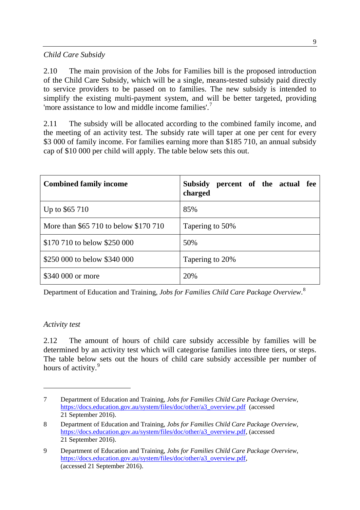## *Child Care Subsidy*

2.10 The main provision of the Jobs for Families bill is the proposed introduction of the Child Care Subsidy, which will be a single, means-tested subsidy paid directly to service providers to be passed on to families. The new subsidy is intended to simplify the existing multi-payment system, and will be better targeted, providing 'more assistance to low and middle income families'.[7](#page-2-0)

2.11 The subsidy will be allocated according to the combined family income, and the meeting of an activity test. The subsidy rate will taper at one per cent for every \$3 000 of family income. For families earning more than \$185 710, an annual subsidy cap of \$10 000 per child will apply. The table below sets this out.

| <b>Combined family income</b>         | <b>Subsidy</b><br>percent of the actual fee<br>charged |
|---------------------------------------|--------------------------------------------------------|
| Up to \$65 710                        | 85%                                                    |
| More than \$65 710 to below \$170 710 | Tapering to 50%                                        |
| \$170 710 to below \$250 000          | 50%                                                    |
| \$250 000 to below \$340 000          | Tapering to 20%                                        |
| \$340 000 or more                     | 20%                                                    |

Department of Education and Training, *Jobs for Families Child Care Package Overview*. [8](#page-2-1)

#### *Activity test*

-

2.12 The amount of hours of child care subsidy accessible by families will be determined by an activity test which will categorise families into three tiers, or steps. The table below sets out the hours of child care subsidy accessible per number of hours of activity.<sup>[9](#page-2-2)</sup>

<span id="page-2-0"></span><sup>7</sup> Department of Education and Training, *[Jobs for Families Child Care Package Overview](https://docs.education.gov.au/system/files/doc/other/a3_overview.pdf)*, [https://docs.education.gov.au/system/files/doc/other/a3\\_overview.pdf](https://docs.education.gov.au/system/files/doc/other/a3_overview.pdf) (accessed 21 September 2016).

<span id="page-2-1"></span><sup>8</sup> Department of Education and Training, *Jobs for Families Child Care Package Overview*, [https://docs.education.gov.au/system/files/doc/other/a3\\_overview.pdf,](https://docs.education.gov.au/system/files/doc/other/a3_overview.pdf) (accessed 21 September 2016).

<span id="page-2-2"></span><sup>9</sup> Department of Education and Training, *Jobs for Families Child Care Package Overview*, [https://docs.education.gov.au/system/files/doc/other/a3\\_overview.pdf,](https://docs.education.gov.au/system/files/doc/other/a3_overview.pdf) (accessed 21 September 2016).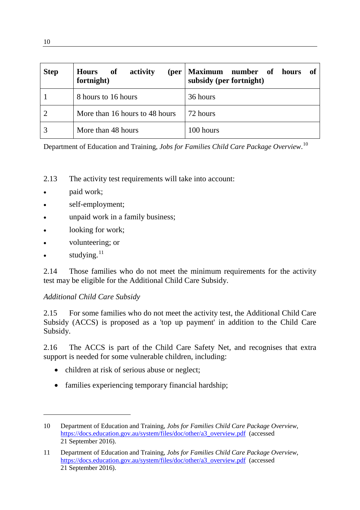| <b>Step</b> | activity<br><b>of</b><br><b>Hours</b><br>(per<br>fortnight) | Maximum<br>number of<br><b>of</b><br>hours<br>subsidy (per fortnight) |
|-------------|-------------------------------------------------------------|-----------------------------------------------------------------------|
|             | 8 hours to 16 hours                                         | 36 hours                                                              |
|             | More than 16 hours to 48 hours                              | 72 hours                                                              |
|             | More than 48 hours                                          | 100 hours                                                             |

Department of Education and Training, *Jobs for Families Child Care Package Overview*. [10](#page-3-0)

- 2.13 The activity test requirements will take into account:
- paid work;
- self-employment;
- unpaid work in a family business;
- looking for work;
- volunteering; or
- studying.<sup>[11](#page-3-1)</sup>

-

2.14 Those families who do not meet the minimum requirements for the activity test may be eligible for the Additional Child Care Subsidy.

#### *Additional Child Care Subsidy*

2.15 For some families who do not meet the activity test, the Additional Child Care Subsidy (ACCS) is proposed as a 'top up payment' in addition to the Child Care Subsidy.

2.16 The ACCS is part of the Child Care Safety Net, and recognises that extra support is needed for some vulnerable children, including:

- children at risk of serious abuse or neglect;
- families experiencing temporary financial hardship;

<span id="page-3-0"></span><sup>10</sup> Department of Education and Training, *[Jobs for Families Child Care Package Overview](https://docs.education.gov.au/system/files/doc/other/a3_overview.pdf)*, [https://docs.education.gov.au/system/files/doc/other/a3\\_overview.pdf](https://docs.education.gov.au/system/files/doc/other/a3_overview.pdf) (accessed 21 September 2016).

<span id="page-3-1"></span><sup>11</sup> Department of Education and Training, *Jobs for Families Child Care Package Overview*, [https://docs.education.gov.au/system/files/doc/other/a3\\_overview.pdf](https://docs.education.gov.au/system/files/doc/other/a3_overview.pdf) (accessed 21 September 2016).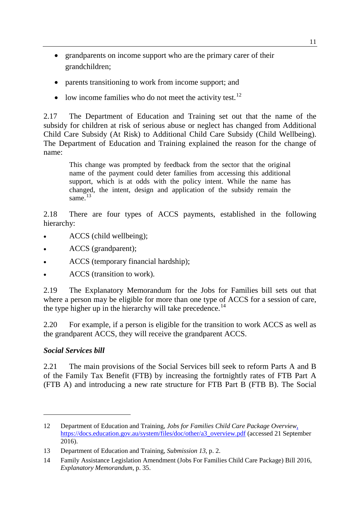- grandparents on income support who are the primary carer of their grandchildren;
- parents transitioning to work from income support; and
- low income families who do not meet the activity test.<sup>[12](#page-4-0)</sup>

2.17 The Department of Education and Training set out that the name of the subsidy for children at risk of serious abuse or neglect has changed from Additional Child Care Subsidy (At Risk) to Additional Child Care Subsidy (Child Wellbeing). The Department of Education and Training explained the reason for the change of name:

This change was prompted by feedback from the sector that the original name of the payment could deter families from accessing this additional support, which is at odds with the policy intent. While the name has changed, the intent, design and application of the subsidy remain the same. $13$ 

2.18 There are four types of ACCS payments, established in the following hierarchy:

- ACCS (child wellbeing);
- ACCS (grandparent);
- ACCS (temporary financial hardship);
- ACCS (transition to work).

2.19 The Explanatory Memorandum for the Jobs for Families bill sets out that where a person may be eligible for more than one type of ACCS for a session of care, the type higher up in the hierarchy will take precedence.<sup>[14](#page-4-2)</sup>

2.20 For example, if a person is eligible for the transition to work ACCS as well as the grandparent ACCS, they will receive the grandparent ACCS.

## *Social Services bill*

-

2.21 The main provisions of the Social Services bill seek to reform Parts A and B of the Family Tax Benefit (FTB) by increasing the fortnightly rates of FTB Part A (FTB A) and introducing a new rate structure for FTB Part B (FTB B). The Social

<span id="page-4-0"></span><sup>12</sup> Department of Education and Training, *Jobs for Families Child Care Package Overview*, [https://docs.education.gov.au/system/files/doc/other/a3\\_overview.pdf](https://docs.education.gov.au/system/files/doc/other/a3_overview.pdf) (accessed 21 September 2016).

<span id="page-4-1"></span><sup>13</sup> Department of Education and Training, *Submission 13*, p. 2.

<span id="page-4-2"></span><sup>14</sup> Family Assistance Legislation Amendment (Jobs For Families Child Care Package) Bill 2016, *Explanatory Memorandum*, p. 35.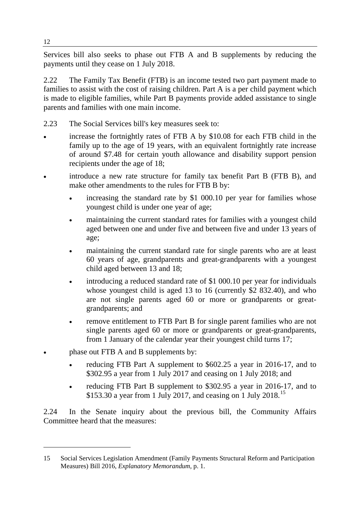Services bill also seeks to phase out FTB A and B supplements by reducing the payments until they cease on 1 July 2018.

2.22 The Family Tax Benefit (FTB) is an income tested two part payment made to families to assist with the cost of raising children. Part A is a per child payment which is made to eligible families, while Part B payments provide added assistance to single parents and families with one main income.

- 2.23 The Social Services bill's key measures seek to:
- increase the fortnightly rates of FTB A by \$10.08 for each FTB child in the family up to the age of 19 years, with an equivalent fortnightly rate increase of around \$7.48 for certain youth allowance and disability support pension recipients under the age of 18;
- introduce a new rate structure for family tax benefit Part B (FTB B), and make other amendments to the rules for FTB B by:
	- increasing the standard rate by \$1 000.10 per year for families whose youngest child is under one year of age;
	- maintaining the current standard rates for families with a youngest child aged between one and under five and between five and under 13 years of age;
	- maintaining the current standard rate for single parents who are at least 60 years of age, grandparents and great-grandparents with a youngest child aged between 13 and 18;
	- introducing a reduced standard rate of \$1 000.10 per year for individuals whose youngest child is aged 13 to 16 (currently \$2 832.40), and who are not single parents aged 60 or more or grandparents or greatgrandparents; and
	- remove entitlement to FTB Part B for single parent families who are not single parents aged 60 or more or grandparents or great-grandparents, from 1 January of the calendar year their youngest child turns 17;
- phase out FTB A and B supplements by:
	- reducing FTB Part A supplement to \$602.25 a year in 2016-17, and to \$302.95 a year from 1 July 2017 and ceasing on 1 July 2018; and
	- reducing FTB Part B supplement to \$302.95 a year in 2016-17, and to \$[15](#page-5-0)3.30 a year from 1 July 2017, and ceasing on 1 July 2018.<sup>15</sup>

2.24 In the Senate inquiry about the previous bill, the Community Affairs Committee heard that the measures:

<span id="page-5-0"></span><sup>15</sup> Social Services Legislation Amendment (Family Payments Structural Reform and Participation Measures) Bill 2016, *Explanatory Memorandum*, p. 1.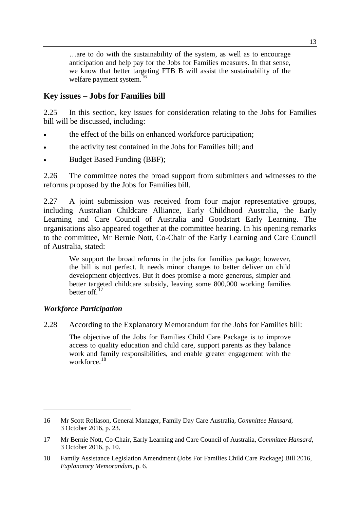…are to do with the sustainability of the system, as well as to encourage anticipation and help pay for the Jobs for Families measures. In that sense, we know that better targeting FTB B will assist the sustainability of the welfare payment system.<sup>[16](#page-6-0)</sup>

## **Key issues – Jobs for Families bill**

2.25 In this section, key issues for consideration relating to the Jobs for Families bill will be discussed, including:

- the effect of the bills on enhanced workforce participation;
- the activity test contained in the Jobs for Families bill; and
- Budget Based Funding (BBF);

2.26 The committee notes the broad support from submitters and witnesses to the reforms proposed by the Jobs for Families bill.

2.27 A joint submission was received from four major representative groups, including Australian Childcare Alliance, Early Childhood Australia, the Early Learning and Care Council of Australia and Goodstart Early Learning. The organisations also appeared together at the committee hearing. In his opening remarks to the committee, Mr Bernie Nott, Co-Chair of the Early Learning and Care Council of Australia, stated:

We support the broad reforms in the jobs for families package; however, the bill is not perfect. It needs minor changes to better deliver on child development objectives. But it does promise a more generous, simpler and better targeted childcare subsidy, leaving some 800,000 working families better of  $t^{17}$  $t^{17}$  $t^{17}$ 

#### *Workforce Participation*

-

2.28 According to the Explanatory Memorandum for the Jobs for Families bill:

The objective of the Jobs for Families Child Care Package is to improve access to quality education and child care, support parents as they balance work and family responsibilities, and enable greater engagement with the workforce.<sup>[18](#page-6-2)</sup>

<span id="page-6-0"></span><sup>16</sup> Mr Scott Rollason, General Manager, Family Day Care Australia, *Committee Hansard*, 3 October 2016, p. 23.

<span id="page-6-1"></span><sup>17</sup> Mr Bernie Nott, Co-Chair, Early Learning and Care Council of Australia, *Committee Hansard*, 3 October 2016, p. 10.

<span id="page-6-2"></span><sup>18</sup> Family Assistance Legislation Amendment (Jobs For Families Child Care Package) Bill 2016, *Explanatory Memorandum*, p. 6.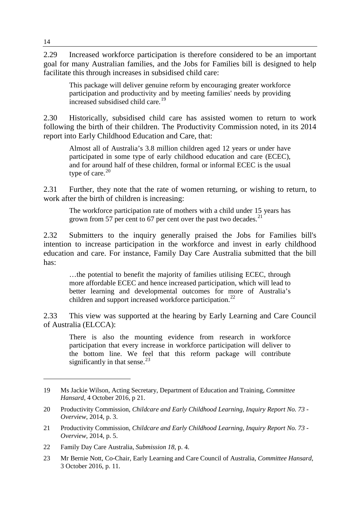2.29 Increased workforce participation is therefore considered to be an important goal for many Australian families, and the Jobs for Families bill is designed to help facilitate this through increases in subsidised child care:

This package will deliver genuine reform by encouraging greater workforce participation and productivity and by meeting families' needs by providing increased subsidised child care. [19](#page-7-0)

2.30 Historically, subsidised child care has assisted women to return to work following the birth of their children. The Productivity Commission noted, in its 2014 report into Early Childhood Education and Care, that:

Almost all of Australia's 3.8 million children aged 12 years or under have participated in some type of early childhood education and care (ECEC), and for around half of these children, formal or informal ECEC is the usual type of care. $20$ 

2.31 Further, they note that the rate of women returning, or wishing to return, to work after the birth of children is increasing:

The workforce participation rate of mothers with a child under 15 years has grown from 57 per cent to 67 per cent over the past two decades. $^{21}$  $^{21}$  $^{21}$ 

2.32 Submitters to the inquiry generally praised the Jobs for Families bill's intention to increase participation in the workforce and invest in early childhood education and care. For instance, Family Day Care Australia submitted that the bill has:

…the potential to benefit the majority of families utilising ECEC, through more affordable ECEC and hence increased participation, which will lead to better learning and developmental outcomes for more of Australia's children and support increased workforce participation.<sup>[22](#page-7-3)</sup>

2.33 This view was supported at the hearing by Early Learning and Care Council of Australia (ELCCA):

There is also the mounting evidence from research in workforce participation that every increase in workforce participation will deliver to the bottom line. We feel that this reform package will contribute significantly in that sense. $^{23}$  $^{23}$  $^{23}$ 

<span id="page-7-0"></span><sup>19</sup> Ms Jackie Wilson, Acting Secretary, Department of Education and Training, *Committee Hansard*, 4 October 2016, p 21.

<span id="page-7-1"></span><sup>20</sup> Productivity Commission, *Childcare and Early Childhood Learning, Inquiry Report No. 73 - Overview*, 2014, p. 3.

<span id="page-7-2"></span><sup>21</sup> Productivity Commission, *Childcare and Early Childhood Learning, Inquiry Report No. 73 - Overview*, 2014, p. 5.

<span id="page-7-3"></span><sup>22</sup> Family Day Care Australia, *Submission 18*, p. 4.

<span id="page-7-4"></span><sup>23</sup> Mr Bernie Nott, Co-Chair, Early Learning and Care Council of Australia, *Committee Hansard*, 3 October 2016, p. 11.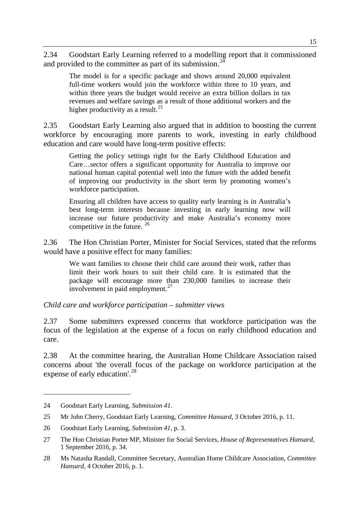2.34 Goodstart Early Learning referred to a modelling report that it commissioned and provided to the committee as part of its submission.<sup>[24](#page-8-0)</sup>

The model is for a specific package and shows around 20,000 equivalent full-time workers would join the workforce within three to 10 years, and within three years the budget would receive an extra billion dollars in tax revenues and welfare savings as a result of those additional workers and the higher productivity as a result.<sup>[25](#page-8-1)</sup>

2.35 Goodstart Early Learning also argued that in addition to boosting the current workforce by encouraging more parents to work, investing in early childhood education and care would have long-term positive effects:

Getting the policy settings right for the Early Childhood Education and Care…sector offers a significant opportunity for Australia to improve our national human capital potential well into the future with the added benefit of improving our productivity in the short term by promoting women's workforce participation.

Ensuring all children have access to quality early learning is in Australia's best long-term interests because investing in early learning now will increase our future productivity and make Australia's economy more competitive in the future. [26](#page-8-2)

2.36 The Hon Christian Porter, Minister for Social Services, stated that the reforms would have a positive effect for many families:

We want families to choose their child care around their work, rather than limit their work hours to suit their child care. It is estimated that the package will encourage more than 230,000 families to increase their involvement in paid employment.<sup>[27](#page-8-3)</sup>

*Child care and workforce participation – submitter views*

2.37 Some submitters expressed concerns that workforce participation was the focus of the legislation at the expense of a focus on early childhood education and care.

2.38 At the committee hearing, the Australian Home Childcare Association raised concerns about 'the overall focus of the package on workforce participation at the expense of early education'.<sup>[28](#page-8-4)</sup>

<span id="page-8-0"></span><sup>24</sup> Goodstart Early Learning, *Submission 41*.

<span id="page-8-1"></span><sup>25</sup> Mr John Cherry, Goodstart Early Learning, *Committee Hansard*, 3 October 2016, p. 11.

<span id="page-8-2"></span><sup>26</sup> Goodstart Early Learning, *Submission 41*, p. 3.

<span id="page-8-3"></span><sup>27</sup> The Hon Christian Porter MP, Minister for Social Services, *House of Representatives Hansard*, 1 September 2016, p. 34.

<span id="page-8-4"></span><sup>28</sup> Ms Natasha Randall, Committee Secretary, Australian Home Childcare Association, *Committee Hansard*, 4 October 2016, p. 1.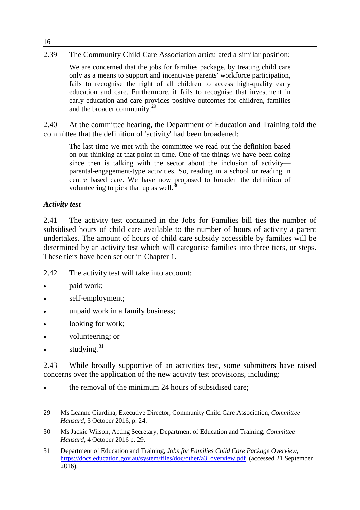#### 2.39 The Community Child Care Association articulated a similar position:

We are concerned that the jobs for families package, by treating child care only as a means to support and incentivise parents' workforce participation, fails to recognise the right of all children to access high-quality early education and care. Furthermore, it fails to recognise that investment in early education and care provides positive outcomes for children, families and the broader community.<sup>[29](#page-9-0)</sup>

2.40 At the committee hearing, the Department of Education and Training told the committee that the definition of 'activity' had been broadened:

The last time we met with the committee we read out the definition based on our thinking at that point in time. One of the things we have been doing since then is talking with the sector about the inclusion of activity parental-engagement-type activities. So, reading in a school or reading in centre based care. We have now proposed to broaden the definition of volunteering to pick that up as well.<sup>[30](#page-9-1)</sup>

#### *Activity test*

2.41 The activity test contained in the Jobs for Families bill ties the number of subsidised hours of child care available to the number of hours of activity a parent undertakes. The amount of hours of child care subsidy accessible by families will be determined by an activity test which will categorise families into three tiers, or steps. These tiers have been set out in Chapter 1.

- 2.42 The activity test will take into account:
- paid work;
- self-employment;
- unpaid work in a family business;
- looking for work;
- volunteering; or
- studying. $31$

-

2.43 While broadly supportive of an activities test, some submitters have raised concerns over the application of the new activity test provisions, including:

the removal of the minimum 24 hours of subsidised care;

16

<span id="page-9-0"></span><sup>29</sup> Ms Leanne Giardina, Executive Director, Community Child Care Association, *Committee Hansard*, 3 October 2016, p. 24.

<span id="page-9-1"></span><sup>30</sup> Ms Jackie Wilson, Acting Secretary, Department of Education and Training, *Committee Hansard*, 4 October 2016 p. 29.

<span id="page-9-2"></span><sup>31</sup> Department of Education and Training, *Jobs for Families Child Care Package Overview*, [https://docs.education.gov.au/system/files/doc/other/a3\\_overview.pdf](https://docs.education.gov.au/system/files/doc/other/a3_overview.pdf) (accessed 21 September 2016).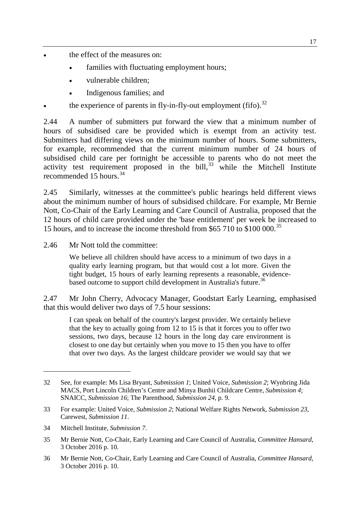- the effect of the measures on:
	- families with fluctuating employment hours;
	- vulnerable children;
	- Indigenous families; and
- the experience of parents in fly-in-fly-out employment (fifo).<sup>[32](#page-10-0)</sup>

2.44 A number of submitters put forward the view that a minimum number of hours of subsidised care be provided which is exempt from an activity test. Submitters had differing views on the minimum number of hours. Some submitters, for example, recommended that the current minimum number of 24 hours of subsidised child care per fortnight be accessible to parents who do not meet the activity test requirement proposed in the bill, $33$  while the Mitchell Institute recommended 15 hours.<sup>[34](#page-10-2)</sup>

2.45 Similarly, witnesses at the committee's public hearings held different views about the minimum number of hours of subsidised childcare. For example, Mr Bernie Nott, Co-Chair of the Early Learning and Care Council of Australia, proposed that the 12 hours of child care provided under the 'base entitlement' per week be increased to 15 hours, and to increase the income threshold from \$65 710 to \$100 000.<sup>[35](#page-10-3)</sup>

2.46 Mr Nott told the committee:

We believe all children should have access to a minimum of two days in a quality early learning program, but that would cost a lot more. Given the tight budget, 15 hours of early learning represents a reasonable, evidence-based outcome to support child development in Australia's future.<sup>[36](#page-10-4)</sup>

2.47 Mr John Cherry, Advocacy Manager, Goodstart Early Learning, emphasised that this would deliver two days of 7.5 hour sessions:

I can speak on behalf of the country's largest provider. We certainly believe that the key to actually going from 12 to 15 is that it forces you to offer two sessions, two days, because 12 hours in the long day care environment is closest to one day but certainly when you move to 15 then you have to offer that over two days. As the largest childcare provider we would say that we

<span id="page-10-2"></span>34 Mitchell Institute, *Submission 7*.

<span id="page-10-0"></span><sup>32</sup> See, for example: Ms Lisa Bryant, *Submission 1*; United Voice, *Submission 2*; Wynbring Jida MACS, Port Lincoln Children's Centre and Minya Bunhii Childcare Centre, *Submission 4*; SNAICC, *Submission 16*; The Parenthood, *Submission 24*, p. 9.

<span id="page-10-1"></span><sup>33</sup> For example: United Voice, *Submission 2*; National Welfare Rights Network, *Submission 23*, Carewest, *Submission 11*.

<span id="page-10-3"></span><sup>35</sup> Mr Bernie Nott, Co-Chair, Early Learning and Care Council of Australia, *Committee Hansard*, 3 October 2016 p. 10.

<span id="page-10-4"></span><sup>36</sup> Mr Bernie Nott, Co-Chair, Early Learning and Care Council of Australia, *Committee Hansard*, 3 October 2016 p. 10.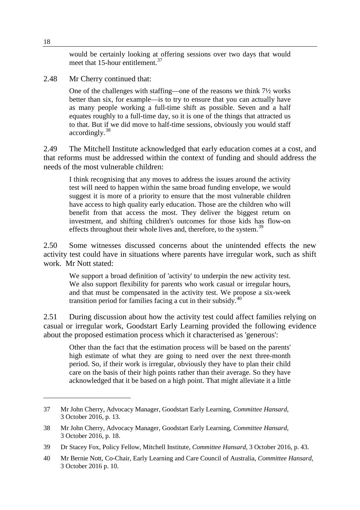would be certainly looking at offering sessions over two days that would meet that 15-hour entitlement.<sup>[37](#page-11-0)</sup>

2.48 Mr Cherry continued that:

One of the challenges with staffing—one of the reasons we think 7½ works better than six, for example—is to try to ensure that you can actually have as many people working a full-time shift as possible. Seven and a half equates roughly to a full-time day, so it is one of the things that attracted us to that. But if we did move to half-time sessions, obviously you would staff accordingly.[38](#page-11-1)

2.49 The Mitchell Institute acknowledged that early education comes at a cost, and that reforms must be addressed within the context of funding and should address the needs of the most vulnerable children:

I think recognising that any moves to address the issues around the activity test will need to happen within the same broad funding envelope, we would suggest it is more of a priority to ensure that the most vulnerable children have access to high quality early education. Those are the children who will benefit from that access the most. They deliver the biggest return on investment, and shifting children's outcomes for those kids has flow-on effects throughout their whole lives and, therefore, to the system.<sup>[39](#page-11-2)</sup>

2.50 Some witnesses discussed concerns about the unintended effects the new activity test could have in situations where parents have irregular work, such as shift work. Mr Nott stated:

We support a broad definition of 'activity' to underpin the new activity test. We also support flexibility for parents who work casual or irregular hours, and that must be compensated in the activity test. We propose a six-week transition period for families facing a cut in their subsidy. $40$ 

2.51 During discussion about how the activity test could affect families relying on casual or irregular work, Goodstart Early Learning provided the following evidence about the proposed estimation process which it characterised as 'generous':

Other than the fact that the estimation process will be based on the parents' high estimate of what they are going to need over the next three-month period. So, if their work is irregular, obviously they have to plan their child care on the basis of their high points rather than their average. So they have acknowledged that it be based on a high point. That might alleviate it a little

<span id="page-11-0"></span><sup>37</sup> Mr John Cherry, Advocacy Manager, Goodstart Early Learning, *Committee Hansard*, 3 October 2016, p. 13.

<span id="page-11-1"></span><sup>38</sup> Mr John Cherry, Advocacy Manager, Goodstart Early Learning, *Committee Hansard*, 3 October 2016, p. 18.

<span id="page-11-2"></span><sup>39</sup> Dr Stacey Fox, Policy Fellow, Mitchell Institute, *Committee Hansard*, 3 October 2016, p. 43.

<span id="page-11-3"></span><sup>40</sup> Mr Bernie Nott, Co-Chair, Early Learning and Care Council of Australia, *Committee Hansard*, 3 October 2016 p. 10.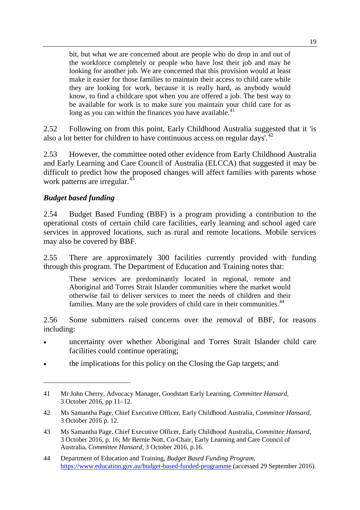bit, but what we are concerned about are people who do drop in and out of the workforce completely or people who have lost their job and may be looking for another job. We are concerned that this provision would at least make it easier for those families to maintain their access to child care while they are looking for work, because it is really hard, as anybody would know, to find a childcare spot when you are offered a job. The best way to be available for work is to make sure you maintain your child care for as long as you can within the finances you have available.<sup>[41](#page-12-0)</sup>

2.52 Following on from this point, Early Childhood Australia suggested that it 'is also a lot better for children to have continuous access on regular days'.<sup>[42](#page-12-1)</sup>

2.53 However, the committee noted other evidence from Early Childhood Australia and Early Learning and Care Council of Australia (ELCCA) that suggested it may be difficult to predict how the proposed changes will affect families with parents whose work patterns are irregular.<sup>[43](#page-12-2)</sup>

## *Budget based funding*

-

2.54 Budget Based Funding (BBF) is a program providing a contribution to the operational costs of certain child care facilities, early learning and school aged care services in approved locations, such as rural and remote locations. Mobile services may also be covered by BBF.

2.55 There are approximately 300 facilities currently provided with funding through this program. The Department of Education and Training notes that:

These services are predominantly located in regional, remote and Aboriginal and Torres Strait Islander communities where the market would otherwise fail to deliver services to meet the needs of children and their families. Many are the sole providers of child care in their communities.<sup>[44](#page-12-3)</sup>

2.56 Some submitters raised concerns over the removal of BBF, for reasons including:

- uncertainty over whether Aboriginal and Torres Strait Islander child care facilities could continue operating;
- the implications for this policy on the Closing the Gap targets; and

<span id="page-12-0"></span><sup>41</sup> Mr John Cherry, Advocacy Manager, Goodstart Early Learning, *Committee Hansard*, 3 October 2016, pp 11–12.

<span id="page-12-1"></span><sup>42</sup> Ms Samantha Page, Chief Executive Officer, Early Childhood Australia, *Committee Hansard*, 3 October 2016 p. 12.

<span id="page-12-2"></span><sup>43</sup> Ms Samantha Page, Chief Executive Officer, Early Childhood Australia, *Committee Hansard*, 3 October 2016, p. 16; Mr Bernie Nott, Co-Chair, Early Learning and Care Council of Australia, *Committee Hansard*, 3 October 2016, p.16.

<span id="page-12-3"></span><sup>44</sup> Department of Education and Training, *Budget Based Funding Program*, <https://www.education.gov.au/budget-based-funded-programme> (accessed 29 September 2016).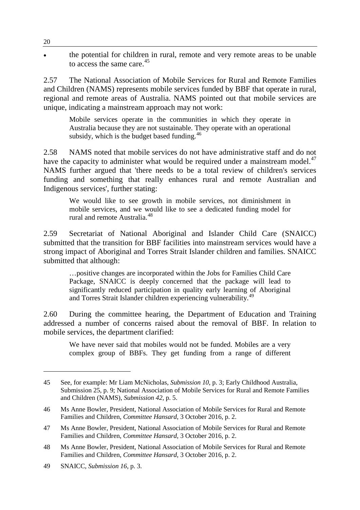• the potential for children in rural, remote and very remote areas to be unable to access the same care. [45](#page-13-0)

2.57 The National Association of Mobile Services for Rural and Remote Families and Children (NAMS) represents mobile services funded by BBF that operate in rural, regional and remote areas of Australia. NAMS pointed out that mobile services are unique, indicating a mainstream approach may not work:

Mobile services operate in the communities in which they operate in Australia because they are not sustainable. They operate with an operational subsidy, which is the budget based funding.<sup>[46](#page-13-1)</sup>

2.58 NAMS noted that mobile services do not have administrative staff and do not have the capacity to administer what would be required under a mainstream model. $47$ NAMS further argued that 'there needs to be a total review of children's services funding and something that really enhances rural and remote Australian and Indigenous services', further stating:

We would like to see growth in mobile services, not diminishment in mobile services, and we would like to see a dedicated funding model for rural and remote Australia.[48](#page-13-3)

2.59 Secretariat of National Aboriginal and Islander Child Care (SNAICC) submitted that the transition for BBF facilities into mainstream services would have a strong impact of Aboriginal and Torres Strait Islander children and families. SNAICC submitted that although:

…positive changes are incorporated within the Jobs for Families Child Care Package, SNAICC is deeply concerned that the package will lead to significantly reduced participation in quality early learning of Aboriginal and Torres Strait Islander children experiencing vulnerability. [49](#page-13-4)

2.60 During the committee hearing, the Department of Education and Training addressed a number of concerns raised about the removal of BBF. In relation to mobile services, the department clarified:

We have never said that mobiles would not be funded. Mobiles are a very complex group of BBFs. They get funding from a range of different

<span id="page-13-0"></span><sup>45</sup> See, for example: Mr Liam McNicholas, *Submission 10*, p. 3; Early Childhood Australia, Submission 25, p. 9; National Association of Mobile Services for Rural and Remote Families and Children (NAMS), *Submission 42*, p. 5.

<span id="page-13-1"></span><sup>46</sup> Ms Anne Bowler, President, National Association of Mobile Services for Rural and Remote Families and Children, *Committee Hansard*, 3 October 2016, p. 2.

<span id="page-13-2"></span><sup>47</sup> Ms Anne Bowler, President, National Association of Mobile Services for Rural and Remote Families and Children, *Committee Hansard*, 3 October 2016, p. 2.

<span id="page-13-3"></span><sup>48</sup> Ms Anne Bowler, President, National Association of Mobile Services for Rural and Remote Families and Children, *Committee Hansard*, 3 October 2016, p. 2.

<span id="page-13-4"></span><sup>49</sup> SNAICC, *Submission 16*, p. 3.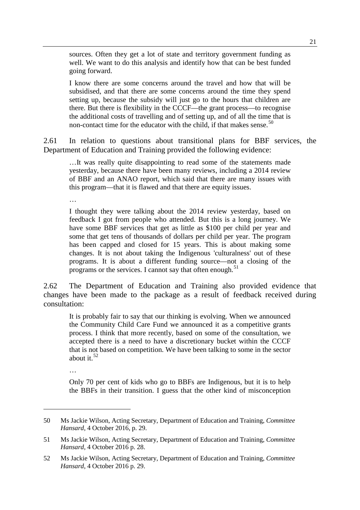sources. Often they get a lot of state and territory government funding as well. We want to do this analysis and identify how that can be best funded going forward.

I know there are some concerns around the travel and how that will be subsidised, and that there are some concerns around the time they spend setting up, because the subsidy will just go to the hours that children are there. But there is flexibility in the CCCF—the grant process—to recognise the additional costs of travelling and of setting up, and of all the time that is non-contact time for the educator with the child, if that makes sense.<sup>[50](#page-14-0)</sup>

2.61 In relation to questions about transitional plans for BBF services, the Department of Education and Training provided the following evidence:

…It was really quite disappointing to read some of the statements made yesterday, because there have been many reviews, including a 2014 review of BBF and an ANAO report, which said that there are many issues with this program—that it is flawed and that there are equity issues.

…

I thought they were talking about the 2014 review yesterday, based on feedback I got from people who attended. But this is a long journey. We have some BBF services that get as little as \$100 per child per year and some that get tens of thousands of dollars per child per year. The program has been capped and closed for 15 years. This is about making some changes. It is not about taking the Indigenous 'culturalness' out of these programs. It is about a different funding source—not a closing of the programs or the services. I cannot say that often enough.<sup>[51](#page-14-1)</sup>

2.62 The Department of Education and Training also provided evidence that changes have been made to the package as a result of feedback received during consultation:

It is probably fair to say that our thinking is evolving. When we announced the Community Child Care Fund we announced it as a competitive grants process. I think that more recently, based on some of the consultation, we accepted there is a need to have a discretionary bucket within the CCCF that is not based on competition. We have been talking to some in the sector about it.  $52$ 

…

-

Only 70 per cent of kids who go to BBFs are Indigenous, but it is to help the BBFs in their transition. I guess that the other kind of misconception

<span id="page-14-0"></span><sup>50</sup> Ms Jackie Wilson, Acting Secretary, Department of Education and Training, *Committee Hansard*, 4 October 2016, p. 29.

<span id="page-14-1"></span><sup>51</sup> Ms Jackie Wilson, Acting Secretary, Department of Education and Training, *Committee Hansard*, 4 October 2016 p. 28.

<span id="page-14-2"></span><sup>52</sup> Ms Jackie Wilson, Acting Secretary, Department of Education and Training, *Committee Hansard*, 4 October 2016 p. 29.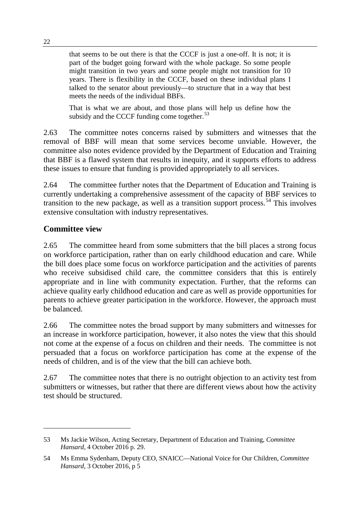that seems to be out there is that the CCCF is just a one-off. It is not; it is part of the budget going forward with the whole package. So some people might transition in two years and some people might not transition for 10 years. There is flexibility in the CCCF, based on these individual plans I talked to the senator about previously—to structure that in a way that best meets the needs of the individual BBFs.

That is what we are about, and those plans will help us define how the subsidy and the CCCF funding come together.<sup>[53](#page-15-0)</sup>

2.63 The committee notes concerns raised by submitters and witnesses that the removal of BBF will mean that some services become unviable. However, the committee also notes evidence provided by the Department of Education and Training that BBF is a flawed system that results in inequity, and it supports efforts to address these issues to ensure that funding is provided appropriately to all services.

2.64 The committee further notes that the Department of Education and Training is currently undertaking a comprehensive assessment of the capacity of BBF services to transition to the new package, as well as a transition support process.<sup>[54](#page-15-1)</sup> This involves extensive consultation with industry representatives.

## **Committee view**

-

2.65 The committee heard from some submitters that the bill places a strong focus on workforce participation, rather than on early childhood education and care. While the bill does place some focus on workforce participation and the activities of parents who receive subsidised child care, the committee considers that this is entirely appropriate and in line with community expectation. Further, that the reforms can achieve quality early childhood education and care as well as provide opportunities for parents to achieve greater participation in the workforce. However, the approach must be balanced.

2.66 The committee notes the broad support by many submitters and witnesses for an increase in workforce participation, however, it also notes the view that this should not come at the expense of a focus on children and their needs. The committee is not persuaded that a focus on workforce participation has come at the expense of the needs of children, and is of the view that the bill can achieve both.

2.67 The committee notes that there is no outright objection to an activity test from submitters or witnesses, but rather that there are different views about how the activity test should be structured.

<span id="page-15-0"></span><sup>53</sup> Ms Jackie Wilson, Acting Secretary, Department of Education and Training, *Committee Hansard*, 4 October 2016 p. 29.

<span id="page-15-1"></span><sup>54</sup> Ms Emma Sydenham, Deputy CEO, SNAICC—National Voice for Our Children, *Committee Hansard*, 3 October 2016, p 5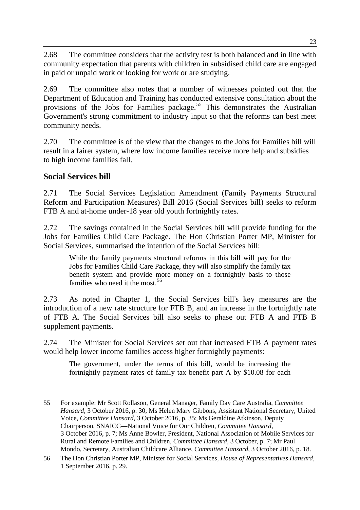2.68 The committee considers that the activity test is both balanced and in line with community expectation that parents with children in subsidised child care are engaged in paid or unpaid work or looking for work or are studying.

2.69 The committee also notes that a number of witnesses pointed out that the Department of Education and Training has conducted extensive consultation about the provisions of the Jobs for Families package.<sup>[55](#page-16-0)</sup> This demonstrates the Australian Government's strong commitment to industry input so that the reforms can best meet community needs.

2.70 The committee is of the view that the changes to the Jobs for Families bill will result in a fairer system, where low income families receive more help and subsidies to high income families fall.

## **Social Services bill**

-

2.71 The Social Services Legislation Amendment (Family Payments Structural Reform and Participation Measures) Bill 2016 (Social Services bill) seeks to reform FTB A and at-home under-18 year old youth fortnightly rates.

2.72 The savings contained in the Social Services bill will provide funding for the Jobs for Families Child Care Package. The Hon Christian Porter MP, Minister for Social Services, summarised the intention of the Social Services bill:

While the family payments structural reforms in this bill will pay for the Jobs for Families Child Care Package, they will also simplify the family tax benefit system and provide more money on a fortnightly basis to those families who need it the most.<sup>[56](#page-16-1)</sup>

2.73 As noted in Chapter 1, the Social Services bill's key measures are the introduction of a new rate structure for FTB B, and an increase in the fortnightly rate of FTB A. The Social Services bill also seeks to phase out FTB A and FTB B supplement payments.

2.74 The Minister for Social Services set out that increased FTB A payment rates would help lower income families access higher fortnightly payments:

The government, under the terms of this bill, would be increasing the fortnightly payment rates of family tax benefit part A by \$10.08 for each

<span id="page-16-0"></span><sup>55</sup> For example: Mr Scott Rollason, General Manager, Family Day Care Australia, *Committee Hansard*, 3 October 2016, p. 30; Ms Helen Mary Gibbons, Assistant National Secretary, United Voice, *Committee Hansard*, 3 October 2016, p. 35; Ms Geraldine Atkinson, Deputy Chairperson, SNAICC—National Voice for Our Children, *Committee Hansard*, 3 October 2016, p. 7; Ms Anne Bowler, President, National Association of Mobile Services for Rural and Remote Families and Children, *Committee Hansard*, 3 October, p. 7; Mr Paul Mondo, Secretary, Australian Childcare Alliance, *Committee Hansard*, 3 October 2016, p. 18.

<span id="page-16-1"></span><sup>56</sup> The Hon Christian Porter MP, Minister for Social Services, *House of Representatives Hansard*, 1 September 2016, p. 29.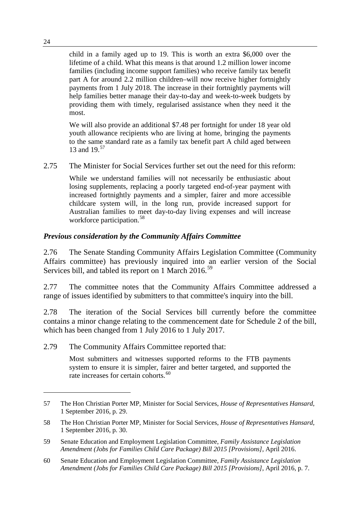child in a family aged up to 19. This is worth an extra \$6,000 over the lifetime of a child. What this means is that around 1.2 million lower income families (including income support families) who receive family tax benefit part A for around 2.2 million children–will now receive higher fortnightly payments from 1 July 2018. The increase in their fortnightly payments will help families better manage their day-to-day and week-to-week budgets by providing them with timely, regularised assistance when they need it the most.

We will also provide an additional \$7.48 per fortnight for under 18 year old youth allowance recipients who are living at home, bringing the payments to the same standard rate as a family tax benefit part A child aged between 13 and 19.<sup>[57](#page-17-0)</sup>

2.75 The Minister for Social Services further set out the need for this reform:

While we understand families will not necessarily be enthusiastic about losing supplements, replacing a poorly targeted end-of-year payment with increased fortnightly payments and a simpler, fairer and more accessible childcare system will, in the long run, provide increased support for Australian families to meet day-to-day living expenses and will increase workforce participation.<sup>[58](#page-17-1)</sup>

#### *Previous consideration by the Community Affairs Committee*

2.76 The Senate Standing Community Affairs Legislation Committee (Community Affairs committee) has previously inquired into an earlier version of the Social Services bill, and tabled its report on 1 March 2016.<sup>[59](#page-17-2)</sup>

2.77 The committee notes that the Community Affairs Committee addressed a range of issues identified by submitters to that committee's inquiry into the bill.

2.78 The iteration of the Social Services bill currently before the committee contains a minor change relating to the commencement date for Schedule 2 of the bill, which has been changed from 1 July 2016 to 1 July 2017.

2.79 The Community Affairs Committee reported that:

Most submitters and witnesses supported reforms to the FTB payments system to ensure it is simpler, fairer and better targeted, and supported the rate increases for certain cohorts.<sup>[60](#page-17-3)</sup>

<span id="page-17-0"></span><sup>57</sup> The Hon Christian Porter MP, Minister for Social Services, *House of Representatives Hansard*, 1 September 2016, p. 29.

<span id="page-17-1"></span><sup>58</sup> The Hon Christian Porter MP, Minister for Social Services, *House of Representatives Hansard*, 1 September 2016, p. 30.

<span id="page-17-2"></span><sup>59</sup> Senate Education and Employment Legislation Committee, *Family Assistance Legislation Amendment (Jobs for Families Child Care Package) Bill 2015 [Provisions]*, April 2016.

<span id="page-17-3"></span><sup>60</sup> Senate Education and Employment Legislation Committee, *Family Assistance Legislation Amendment (Jobs for Families Child Care Package) Bill 2015 [Provisions]*, April 2016, p. 7.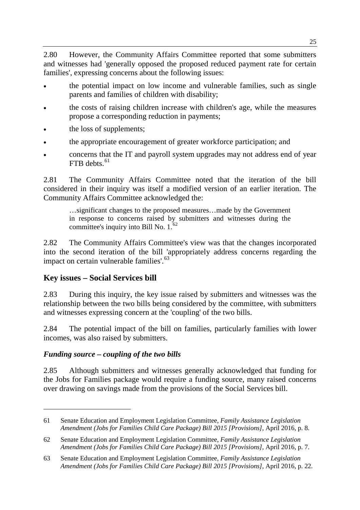2.80 However, the Community Affairs Committee reported that some submitters and witnesses had 'generally opposed the proposed reduced payment rate for certain families', expressing concerns about the following issues:

- the potential impact on low income and vulnerable families, such as single parents and families of children with disability;
- the costs of raising children increase with children's age, while the measures propose a corresponding reduction in payments;
- the loss of supplements;
- the appropriate encouragement of greater workforce participation; and
- concerns that the IT and payroll system upgrades may not address end of year  $FTB$  debts.<sup>[61](#page-18-0)</sup>

2.81 The Community Affairs Committee noted that the iteration of the bill considered in their inquiry was itself a modified version of an earlier iteration. The Community Affairs Committee acknowledged the:

…significant changes to the proposed measures…made by the Government in response to concerns raised by submitters and witnesses during the committee's inquiry into Bill No. 1.<sup>[62](#page-18-1)</sup>

2.82 The Community Affairs Committee's view was that the changes incorporated into the second iteration of the bill 'appropriately address concerns regarding the impact on certain vulnerable families'.<sup>[63](#page-18-2)</sup>

## **Key issues – Social Services bill**

2.83 During this inquiry, the key issue raised by submitters and witnesses was the relationship between the two bills being considered by the committee, with submitters and witnesses expressing concern at the 'coupling' of the two bills.

2.84 The potential impact of the bill on families, particularly families with lower incomes, was also raised by submitters.

#### *Funding source – coupling of the two bills*

-

2.85 Although submitters and witnesses generally acknowledged that funding for the Jobs for Families package would require a funding source, many raised concerns over drawing on savings made from the provisions of the Social Services bill.

<span id="page-18-0"></span><sup>61</sup> Senate Education and Employment Legislation Committee, *Family Assistance Legislation Amendment (Jobs for Families Child Care Package) Bill 2015 [Provisions]*, April 2016, p. 8.

<span id="page-18-1"></span><sup>62</sup> Senate Education and Employment Legislation Committee, *Family Assistance Legislation Amendment (Jobs for Families Child Care Package) Bill 2015 [Provisions]*, April 2016, p. 7.

<span id="page-18-2"></span><sup>63</sup> Senate Education and Employment Legislation Committee, *Family Assistance Legislation Amendment (Jobs for Families Child Care Package) Bill 2015 [Provisions]*, April 2016, p. 22.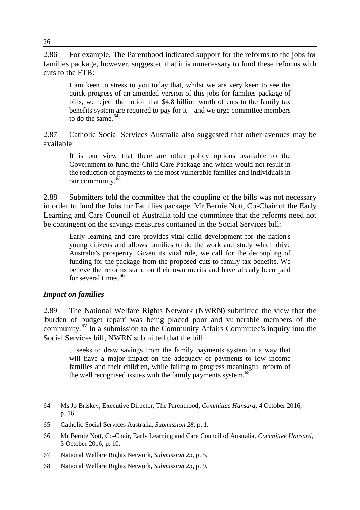2.86 For example, The Parenthood indicated support for the reforms to the jobs for families package, however, suggested that it is unnecessary to fund these reforms with cuts to the FTB:

I am keen to stress to you today that, whilst we are very keen to see the quick progress of an amended version of this jobs for families package of bills, we reject the notion that \$4.8 billion worth of cuts to the family tax benefits system are required to pay for it—and we urge committee members to do the same.  $64$ 

2.87 Catholic Social Services Australia also suggested that other avenues may be available:

It is our view that there are other policy options available to the Government to fund the Child Care Package and which would not result in the reduction of payments to the most vulnerable families and individuals in our community.<sup>[65](#page-19-1)</sup>

2.88 Submitters told the committee that the coupling of the bills was not necessary in order to fund the Jobs for Families package. Mr Bernie Nott, Co-Chair of the Early Learning and Care Council of Australia told the committee that the reforms need not be contingent on the savings measures contained in the Social Services bill:

Early learning and care provides vital child development for the nation's young citizens and allows families to do the work and study which drive Australia's prosperity. Given its vital role, we call for the decoupling of funding for the package from the proposed cuts to family tax benefits. We believe the reforms stand on their own merits and have already been paid for several times.<sup>[66](#page-19-2)</sup>

#### *Impact on families*

-

2.89 The National Welfare Rights Network (NWRN) submitted the view that the 'burden of budget repair' was being placed poor and vulnerable members of the community.[67](#page-19-3) In a submission to the Community Affairs Committee's inquiry into the Social Services bill, NWRN submitted that the bill:

…seeks to draw savings from the family payments system in a way that will have a major impact on the adequacy of payments to low income families and their children, while failing to progress meaningful reform of the well recognised issues with the family payments system. $68$ 

<span id="page-19-0"></span><sup>64</sup> Ms Jo Briskey, Executive Director, The Parenthood, *Committee Hansard*, 4 October 2016, p. 16.

<span id="page-19-1"></span><sup>65</sup> Catholic Social Services Australia, *Submission 28*, p. 1.

<span id="page-19-2"></span><sup>66</sup> Mr Bernie Nott, Co-Chair, Early Learning and Care Council of Australia, *Committee Hansard*, 3 October 2016, p. 10.

<span id="page-19-3"></span><sup>67</sup> National Welfare Rights Network, *Submission 23*, p. 5.

<span id="page-19-4"></span><sup>68</sup> National Welfare Rights Network, *Submission 23*, p. 9.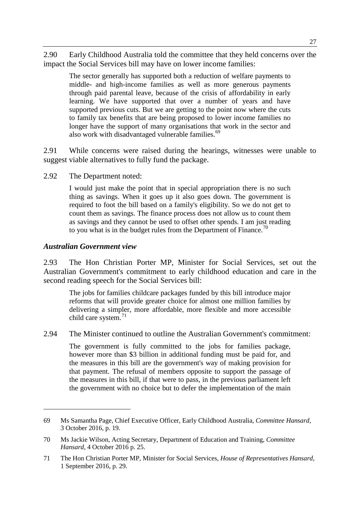2.90 Early Childhood Australia told the committee that they held concerns over the impact the Social Services bill may have on lower income families:

The sector generally has supported both a reduction of welfare payments to middle- and high-income families as well as more generous payments through paid parental leave, because of the crisis of affordability in early learning. We have supported that over a number of years and have supported previous cuts. But we are getting to the point now where the cuts to family tax benefits that are being proposed to lower income families no longer have the support of many organisations that work in the sector and also work with disadvantaged vulnerable families.<sup>[69](#page-20-0)</sup>

2.91 While concerns were raised during the hearings, witnesses were unable to suggest viable alternatives to fully fund the package.

2.92 The Department noted:

I would just make the point that in special appropriation there is no such thing as savings. When it goes up it also goes down. The government is required to foot the bill based on a family's eligibility. So we do not get to count them as savings. The finance process does not allow us to count them as savings and they cannot be used to offset other spends. I am just reading to you what is in the budget rules from the Department of Finance.<sup>[70](#page-20-1)</sup>

#### *Australian Government view*

-

2.93 The Hon Christian Porter MP, Minister for Social Services, set out the Australian Government's commitment to early childhood education and care in the second reading speech for the Social Services bill:

The jobs for families childcare packages funded by this bill introduce major reforms that will provide greater choice for almost one million families by delivering a simpler, more affordable, more flexible and more accessible child care system.<sup>[71](#page-20-2)</sup>

2.94 The Minister continued to outline the Australian Government's commitment:

The government is fully committed to the jobs for families package, however more than \$3 billion in additional funding must be paid for, and the measures in this bill are the government's way of making provision for that payment. The refusal of members opposite to support the passage of the measures in this bill, if that were to pass, in the previous parliament left the government with no choice but to defer the implementation of the main

<span id="page-20-0"></span><sup>69</sup> Ms Samantha Page, Chief Executive Officer, Early Childhood Australia, *Committee Hansard*, 3 October 2016, p. 19.

<span id="page-20-1"></span><sup>70</sup> Ms Jackie Wilson, Acting Secretary, Department of Education and Training, *Committee Hansard*, 4 October 2016 p. 25.

<span id="page-20-2"></span><sup>71</sup> The Hon Christian Porter MP, Minister for Social Services, *House of Representatives Hansard*, 1 September 2016, p. 29.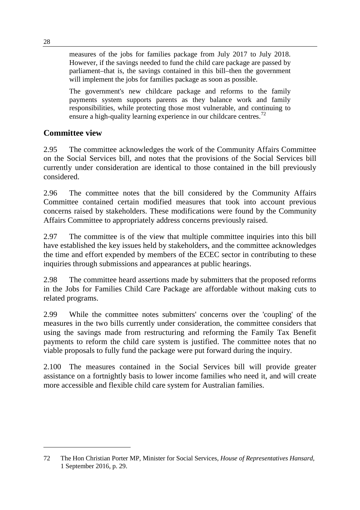measures of the jobs for families package from July 2017 to July 2018. However, if the savings needed to fund the child care package are passed by parliament–that is, the savings contained in this bill–then the government will implement the jobs for families package as soon as possible.

The government's new childcare package and reforms to the family payments system supports parents as they balance work and family responsibilities, while protecting those most vulnerable, and continuing to ensure a high-quality learning experience in our childcare centres.<sup>[72](#page-21-0)</sup>

## **Committee view**

2.95 The committee acknowledges the work of the Community Affairs Committee on the Social Services bill, and notes that the provisions of the Social Services bill currently under consideration are identical to those contained in the bill previously considered.

2.96 The committee notes that the bill considered by the Community Affairs Committee contained certain modified measures that took into account previous concerns raised by stakeholders. These modifications were found by the Community Affairs Committee to appropriately address concerns previously raised.

2.97 The committee is of the view that multiple committee inquiries into this bill have established the key issues held by stakeholders, and the committee acknowledges the time and effort expended by members of the ECEC sector in contributing to these inquiries through submissions and appearances at public hearings.

2.98 The committee heard assertions made by submitters that the proposed reforms in the Jobs for Families Child Care Package are affordable without making cuts to related programs.

2.99 While the committee notes submitters' concerns over the 'coupling' of the measures in the two bills currently under consideration, the committee considers that using the savings made from restructuring and reforming the Family Tax Benefit payments to reform the child care system is justified. The committee notes that no viable proposals to fully fund the package were put forward during the inquiry.

2.100 The measures contained in the Social Services bill will provide greater assistance on a fortnightly basis to lower income families who need it, and will create more accessible and flexible child care system for Australian families.

<span id="page-21-0"></span><sup>72</sup> The Hon Christian Porter MP, Minister for Social Services, *House of Representatives Hansard*, 1 September 2016, p. 29.